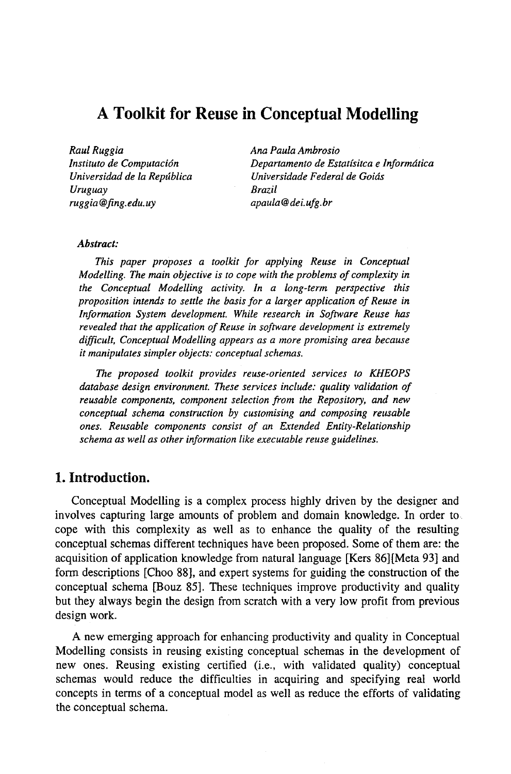# **A Toolkit for Reuse in Conceptual Modelling**

*Raul Ruggia Instituto de Computacidn Universidad de la Reptlblica Uruguay ruggia @ring.edu.uy* 

*Ana Paula Ambrosio Departamento de Estat[sitca e lnformdtica Universidade Federal de Goids Brazil apaula@dei.ufg.br* 

## *Abstract:*

*This paper proposes a toolkit for applying Reuse in Conceptual Modelling. The main objective is to cope with the problems of complexity in the Conceptual Modelling activity. In a long-term perspective this proposition intends to settle the basis for a larger application of Reuse in Information System development. While research in Software Reuse has revealed that the application of Reuse in software development is extremely difficult, Conceptual Modelling appears as a more promising area because it manipulates simpler objects: conceptual schemas.* 

*The proposed toolkit provides reuse-oriented services to KHEOPS database design environment. These services include: quality validation of reusable components, component selection from the Repository, and new conceptual schema construction by customising and composing reusable ones. Reusable components consist of an Extended Entity-Relationship schema as well as other information like executable reuse guidelines.* 

# **1. Introduction.**

Conceptual Modelling is a complex process highly driven by the designer and involves capturing large amounts of problem and domain knowledge. In order to cope with this complexity as well as to enhance the quality of the resulting conceptual schemas different techniques have been proposed. Some of them are: the acquisition of application knowledge from natural language [Kers 86][Mcta 93] and form descriptions [Choo 88], and expert systems for guiding the construction of the conceptual schema [Bouz 85]. These techniques improve productivity and quality but they always begin the design from scratch with a very low profit from previous design work.

A new emerging approach for enhancing productivity and quality in Conceptual Modelling consists in reusing existing conceptual schemas in the development of new ones. Reusing existing certified (i.e., with validated quality) conceptual schemas would reduce the difficulties in acquiring and specifying real world concepts in terms of a conceptual model as well as reduce the efforts of validating the conceptual schema.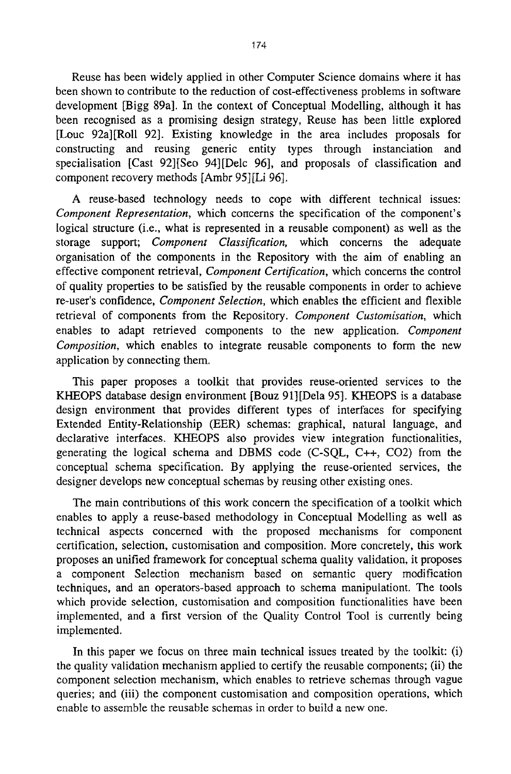Reuse has been widely applied in other Computer Science domains where it has been shown to contribute to the reduction of cost-effectiveness problems in software development [Bigg 89a]. In the context of Conceptual Modelling, although it has been recognised as a promising design strategy, Reuse has been little explored [Louc 92a][Roll 92]. Existing knowledge in the area includes proposals for constructing and reusing generic entity types through instanciation and specialisation [Cast 92][Seo 94][Delc 96], and proposals of classification and component recovery methods [Ambr 95] [Li 96].

A reuse-based technology needs to cope with different technical issues: *Component Representation,* which concerns the specification of the component's logical structure (i.e., what is represented in a reusable component) as well as the storage support; *Component Classification,* which concerns the adequate organisation of the components in the Repository with the aim of enabling an effective component retrieval, *Component Certification,* which concerns the control of quality properties to be satisfied by the reusable components in order to achieve re-user's confidence, *Component Selection,* which enables the efficient and flexible retrieval of components from the Repository. *Component Customisation,* which enables to adapt retrieved components to the new application. *Component Composition,* which enables to integrate reusable components to form the new application by connecting them.

This paper proposes a toolkit that provides reuse-oriented services to the KHEOPS database design environment [Bouz 91][Dela 95]. KHEOPS is a database design environment that provides different types of interfaces for specifying Extended Entity-Relationship (EER) schemas: graphical, natural language, and declarative interfaces. KHEOPS also provides view integration functionalities, generating the logical schema and DBMS code (C-SQL, C++, CO2) from the conceptual schema specification. By applying the reuse-oriented services, the designer develops new conceptual schemas by reusing other existing ones.

The main contributions of this work concern the specification of a toolkit which enables to apply a reuse-based methodology in Conceptual Modelling as well as technical aspects concerned with the proposed mechanisms for component certification, selection, customisation and composition. More concretely, this work proposes an unified framework for conceptual schema quality validation, it proposes a component Selection mechanism based on semantic query modification techniques, and an operators-based approach to schema manipulationt. The tools which provide selection, customisation and composition functionalities have been implemented, and a first version of the Quality Control Tool is currently being implemented.

In this paper we focus on three main technical issues treated by the toolkit: (i) the quality validation mechanism applied to certify the reusable components; (ii) the component selection mechanism, which enables to retrieve schemas through vague queries; and (iii) the component customisation and composition operations, which enable to assemble the reusable schemas in order to build a new one.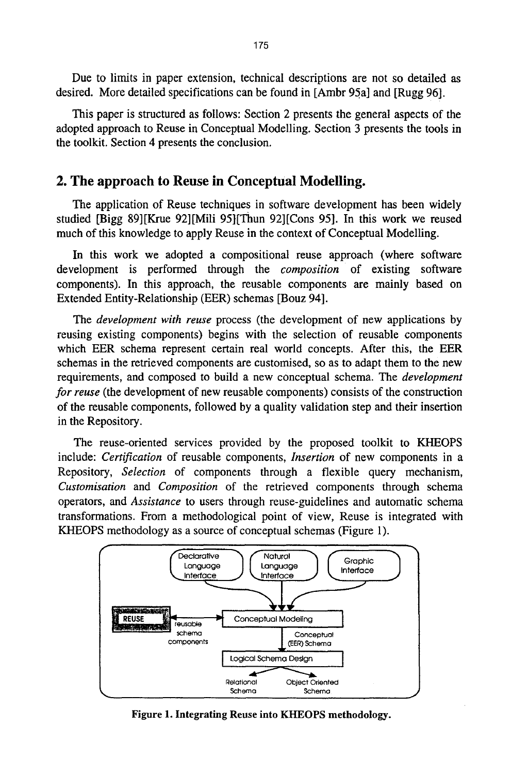Due to limits in paper extension, technical descriptions are not so detailed as desired. More detailed specifications can be found in [Ambr 95a] and [Rugg 96].

This paper is structured as follows: Section 2 presents the general aspects of the adopted approach to Reuse in Conceptual Modelling. Section 3 presents the tools in the toolkit. Section 4 presents the conclusion.

# **2. The approach to Reuse in Conceptual Modelling.**

The application of Reuse techniques in software development has been widely studied [Bigg 89][Krue 92][Mili 95][Thun 92]ICons 95]. In this work we reused much of this knowledge to apply Reuse in the context of Conceptual Modelling.

In this work we adopted a compositional reuse approach (where software development is performed through the *composition* of existing software components). In this approach, the reusable components are mainly based on Extended Entity-Relationship (EER) schemas [Bouz 94].

*The development with reuse* process (the development of new applications by reusing existing components) begins with the selection of reusable components which EER schema represent certain real world concepts. After this, the EER schemas in the retrieved components are customised, so as to adapt them to the new requirements, and composed to build a new conceptual schema. The *development for reuse* (the development of new reusable components) consists of the construction of the reusable components, followed by a quality validation step and their insertion in the Repository.

The reuse-oriented services provided by the proposed toolkit to KHEOPS include: *Certification* of reusable components, *Insertion* of new components in a Repository, *Selection* of components through a flexible query mechanism, *Customisation* and *Composition* of the retrieved components through schema operators, and *Assistance* to users through reuse-guidelines and automatic schema transformations. From a methodological point of view, Reuse is integrated with KHEOPS methodology as a source of conceptual schemas (Figure 1).



Figure 1. Integrating Reuse into KHEOPS **methodology.**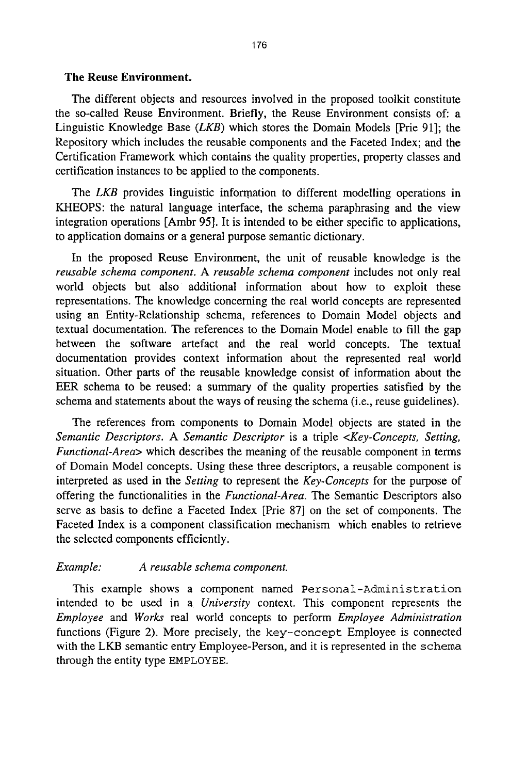## **The Reuse Environment.**

The different objects and resources involved in the proposed toolkit constitute the so-called Reuse Environment. Briefly, the Reuse Environment consists of: a Linguistic Knowledge Base *(LKB)* which stores the Domain Models [Prie 91]; the Repository which includes the reusable components and the Faceted Index; and the Certification Framework which contains the quality properties, property classes and certification instances to be applied to the components.

*The LKB* provides linguistic information to different modelling operations in KHEOPS: the natural language interface, the schema paraphrasing and the view integration operations [Ambr 95]. It is intended to be either specific to applications, to application domains or a general purpose semantic dictionary.

In the proposed Reuse Environment, the unit of reusable knowledge is the *reusable schema component. A reusable schema component* includes not only real world objects but also additional information about how to exploit these representations. The knowledge concerning the real world concepts are represented using an Entity-Relationship schema, references to Domain Model objects and textual documentation. The references to the Domain Model enable to fill the gap between the software artefact and the real world concepts. The textual documentation provides context information about the represented real world situation. Other parts of the reusable knowledge consist of information about the EER schema to he reused: a summary of the quality properties satisfied by **the**  schema and statements about the ways of reusing the schema (i.e., reuse guidelines).

The references from components to Domain Model objects are stated in the *Semantic Descriptors. A Semantic Descriptor* is a triple *<Key-Concepts, Setting, Functional.Area>* which describes the meaning of the reusable component in terms of Domain Model concepts. Using these three descriptors, a reusable component is interpreted as used in the *Setting* to represent the *Key.Concepts* for the purpose of offering the functionalities in the *Functional-Area. The* Semantic Descriptors also serve as basis to define a Faceted Index [Prie 87] on the set of components. The Faceted Index is a component classification mechanism which enables to retrieve the selected components efficiently.

## *Example: A reusable schema component.*

This example shows a component named Personal-Administration intended to be used in a *University* context. This component represents the *Employee* and *Works* real world concepts to perform *Employee Administration*  functions (Figure 2). More precisely, the key-concept Employee is connected with the LKB semantic entry Employee-Person, and it is represented in the schema through the entity type EMPLOYEE.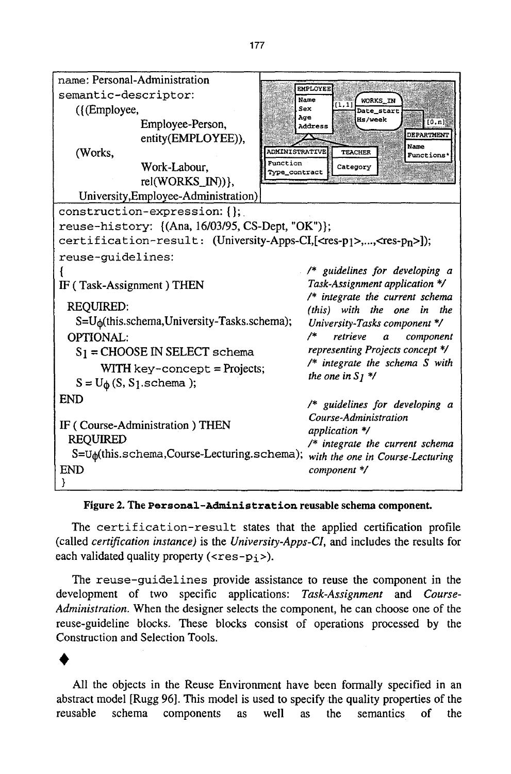| name: Personal-Administration                                                                  |                    |                           |                                                                       |
|------------------------------------------------------------------------------------------------|--------------------|---------------------------|-----------------------------------------------------------------------|
| semantic-descriptor:                                                                           |                    | <b>EMPLOYEE</b><br>Name   | WORKS IN                                                              |
| ({(Employee,                                                                                   |                    | Sex                       | [1, 1]<br>Date_start                                                  |
| Employee-Person,                                                                               |                    | Age<br>Address            | <b>Hs/week</b><br>[0,n]                                               |
|                                                                                                | entity(EMPLOYEE)), |                           | <b>DEPARTMENT</b><br>Name                                             |
| (Works,                                                                                        |                    | <b>ADMINISTRATIVE</b>     | <b>TEACHER</b><br><b>Functions*</b>                                   |
| Work-Labour,                                                                                   |                    | Function<br>Type_contract | Category                                                              |
| $rel(WORKS_N)$ },                                                                              |                    |                           |                                                                       |
| University, Employee-Administration)                                                           |                    |                           |                                                                       |
| construction-expression: {};                                                                   |                    |                           |                                                                       |
| reuse-history: {(Ana, 16/03/95, CS-Dept, "OK")};                                               |                    |                           |                                                                       |
| certification-result: (University-Apps-CI,[ <res-p1>,,<res-p<sub>n&gt;]);</res-p<sub></res-p1> |                    |                           |                                                                       |
| reuse-guidelines:                                                                              |                    |                           |                                                                       |
|                                                                                                |                    |                           | /* guidelines for developing a                                        |
| IF (Task-Assignment) THEN                                                                      |                    |                           | Task-Assignment application */                                        |
| <b>REQUIRED:</b>                                                                               |                    |                           | /* integrate the current schema<br>(this) with the one in the         |
| $S=U_{\phi}$ (this.schema, University-Tasks.schema);                                           |                    |                           | University-Tasks component */                                         |
| OPTIONAL:                                                                                      |                    | 7*                        | retrieve<br>a<br>component                                            |
| $S_1$ = CHOOSE IN SELECT schema                                                                |                    |                           | representing Projects concept */                                      |
| $WITH$ key-concept = Projects;                                                                 |                    |                           | $/*$ integrate the schema S with                                      |
| $S = U_{\phi}(S, S_1.schema)$ ;                                                                |                    |                           | the one in $S_1$ */                                                   |
| <b>END</b>                                                                                     |                    |                           |                                                                       |
|                                                                                                |                    |                           | /* guidelines for developing a                                        |
| IF (Course-Administration) THEN                                                                |                    |                           | Course-Administration                                                 |
| <b>REQUIRED</b>                                                                                |                    |                           | application */                                                        |
| S=U <sub><math>\phi</math></sub> (this.schema, Course-Lecturing.schema);                       |                    |                           | $/*$ integrate the current schema<br>with the one in Course-Lecturing |
| <b>END</b>                                                                                     |                    |                           | component */                                                          |
|                                                                                                |                    |                           |                                                                       |

### **Figure 2. The Personal-Administration reusable schema component.**

The certification-result states that the applied certification profile (called *certification instance)* is the *University-Apps-Cl,* and includes the results for each validated quality property ( $\langle$ res-p<sub>j</sub> >).

The reuse-guidelines provide assistance to reuse the component in the development of two specific applications: *Task-Assignment* and *Course-Administration.* When the designer selects the component, he can choose one of the reuse-guideline blocks. These blocks consist of operations processed by the Construction and Selection Tools.

All the objects in the Reuse Environment have been formally specified in an abstract model [Rugg 96]. This model is used to specify the quality properties of the reusable schema components as well as the semantics of the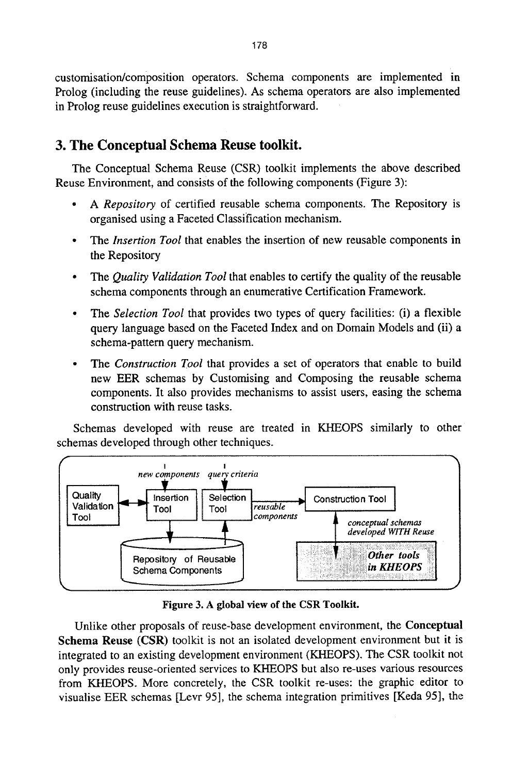customisation/composition operators. Schema components are implemented in Prolog (including the reuse guidelines). As schema operators are also implemented in Prolog reuse guidelines execution is straightforward.

# **3. The Conceptual Schema Reuse toolkit.**

The Conceptual Schema Reuse (CSR) toolkit implements the above described Reuse Environment, and consists of the following components (Figure 3):

- *9 A Repository* of certified reusable schema components. The Repository is organised using a Faceted Classification mechanism.
- *9 The Insertion Tool* that enables the insertion of new reusable components in the Repository
- *9 The Quality Validation Tool* that enables to certify the quality of the reusable schema components through an enumerative Certification Framework.
- *9 The Selection Tool* that provides two types of query facilities: (i) a flexible query language based on the Faceted Index and on Domain Models and (ii) a schema-pattern query mechanism.
- *9 The Construction Tool* that provides a set of operators that enable to build new EER schemas by Customising and Composing the reusable schema components. It also provides mechanisms to assist users, easing the schema construction with reuse tasks.

Schemas developed with reuse are treated in KHEOPS similarly to other schemas developed through other techniques.



**Figure 3. A global view of the CSR Toolkit.** 

Unlike other proposals of reuse-base development environment, the **Conceptual Schema Reuse** (CSR) toolkit is not an isolated development environment but it is integrated to an existing development environment (KHEOPS). The CSR toolkit not only provides reuse-oriented services to KHEOPS but also re-uses various resources from KHEOPS. More concretely, the CSR toolkit re-uses: the graphic editor to visualise EER schemas [Levr 95], the schema integration primitives [Keda 95], the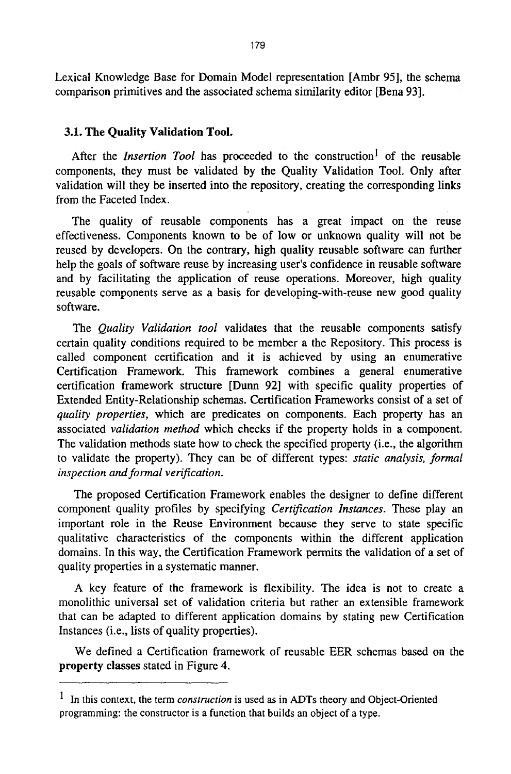Lexical Knowledge Base for Domain Model representation [Ambr 95], the schema comparison primitives and the associated schema similarity editor [Bena 93].

## **3.1. The Quality Validation Tool.**

After the *Insertion Tool* has proceeded to the construction<sup>1</sup> of the reusable components, they must be validated by the Quality Validation Tool. Only after validation will they be inserted into the repository, creating the corresponding links from the Faceted Index.

The quality of reusable components has a great impact on the reuse effectiveness. Components known to be of low or unknown quality will not be reused by developers. On the contrary, high quality reusable software can further help the goals of software reuse by increasing user's confidence in reusable software and by facilitating the application of reuse operations. Moreover, high quality reusable components serve as a basis for developing-with-reuse new good quality software.

*The Quality Validation tool* validates that the reusable components satisfy certain quality conditions required to be member a the Repository. This process is called component certification and it is achieved by using an enumerative Certification Framework. This framework combines a general enumerative certification framework structure [Dunn 92] with specific quality properties of Extended Entity-Relationship schemas. Certification Frameworks consist of a set of *quality properties,* which are predicates on components. Each property has an associated *validation method* which checks if the property holds in a component. The validation methods state how to check the specified property (i.e., the algorithm to validate the property). They can be of different types: *static analysis, formal inspection and formal verification.* 

The proposed Certification Framework enables the designer to define different component quality profiles by specifying *Certification Instances.* These play an important role in the Reuse Environment because they serve to state specific qualitative characteristics of the components within the different application domains. In this way, the Certification Framework permits the validation of a set of quality properties in a systematic manner.

A key feature of the framework is flexibility. The idea is not to create a monolithic universal set of validation criteria but rather an extensible framework that can be adapted to different application domains by stating new Certification Instances (i.e., lists of quality properties).

We defined a Certification framework of reusable EER schemas based on the property classes stated in Figure 4.

<sup>1</sup> In this context, the term *construction* is used as in ADTs theory and Object-Oriented programming: the constructor is a function that builds an object of a type.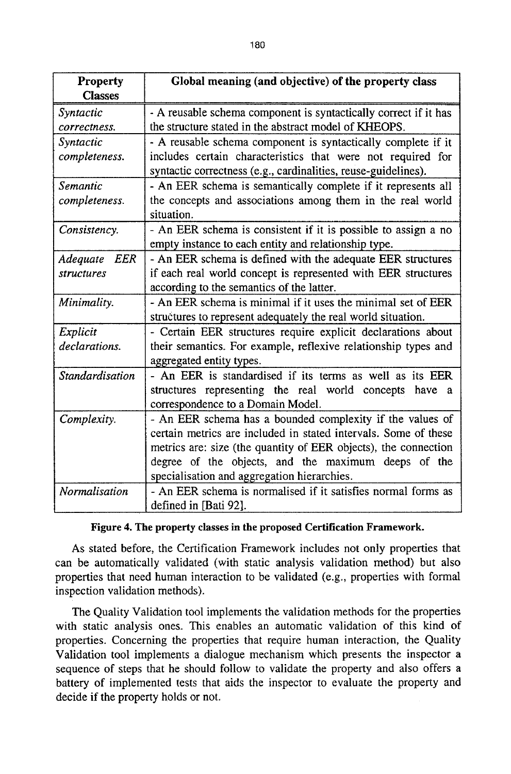| <b>Property</b>        | Global meaning (and objective) of the property class             |
|------------------------|------------------------------------------------------------------|
| <b>Classes</b>         |                                                                  |
| Syntactic              | - A reusable schema component is syntactically correct if it has |
| correctness.           | the structure stated in the abstract model of KHEOPS.            |
| Syntactic              | - A reusable schema component is syntactically complete if it    |
| completeness.          | includes certain characteristics that were not required for      |
|                        | syntactic correctness (e.g., cardinalities, reuse-guidelines).   |
| Semantic               | - An EER schema is semantically complete if it represents all    |
| completeness.          | the concepts and associations among them in the real world       |
|                        | situation.                                                       |
| Consistency.           | - An EER schema is consistent if it is possible to assign a no   |
|                        | empty instance to each entity and relationship type.             |
| <b>EER</b><br>Adequate | - An EER schema is defined with the adequate EER structures      |
| structures             | if each real world concept is represented with EER structures    |
|                        | according to the semantics of the latter.                        |
| Minimality.            | - An EER schema is minimal if it uses the minimal set of EER     |
|                        | structures to represent adequately the real world situation.     |
| Explicit               | - Certain EER structures require explicit declarations about     |
| declarations.          | their semantics. For example, reflexive relationship types and   |
|                        | aggregated entity types.                                         |
| Standardisation        | - An EER is standardised if its terms as well as its EER         |
|                        | structures representing the real world concepts have a           |
|                        | correspondence to a Domain Model.                                |
| Complexity.            | - An EER schema has a bounded complexity if the values of        |
|                        | certain metrics are included in stated intervals. Some of these  |
|                        | metrics are: size (the quantity of EER objects), the connection  |
|                        | degree of the objects, and the maximum deeps of the              |
|                        | specialisation and aggregation hierarchies.                      |
| Normalisation          | - An EER schema is normalised if it satisfies normal forms as    |
|                        | defined in [Bati 92].                                            |

#### **Figure 4. The property classes in the proposed Certification Framework.**

As stated before, the Certification Framework includes not only properties that can be automatically validated (with static analysis validation method) but also properties that need human interaction to be validated (e.g., properties with formal inspection validation methods).

The Quality Validation tool implements the validation methods for the properties with static analysis ones. This enables an automatic validation of this kind of properties. Concerning the properties that require human interaction, the Quality Validation tool implements a dialogue mechanism which presents the inspector a sequence of steps that he should follow to validate the property and also offers a battery of implemented tests that aids the inspector to evaluate the property and decide if the property holds or not.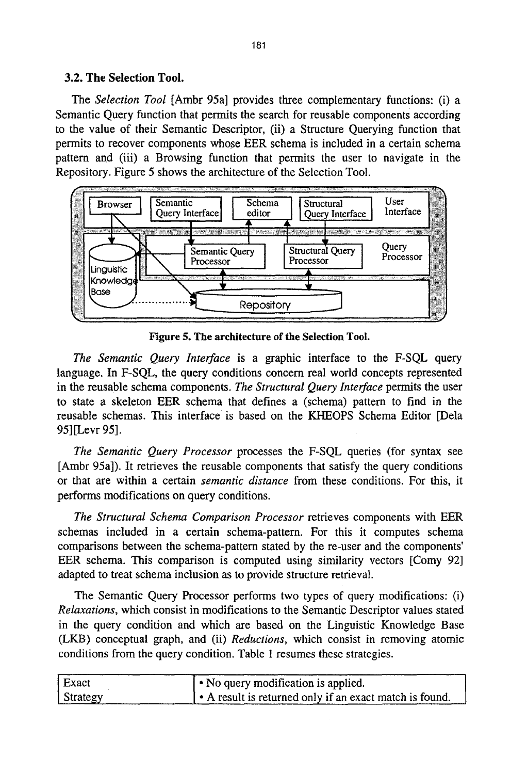# **3.2. The Selection Tool.**

The *Selection Tool* [Ambr 95a] provides three complementary functions: (i) a Semantic Query function that permits the search for reusable components according to the value of their Semantic Descriptor, (ii) a Structure Querying function that permits to recover components whose EER schema is included in a certain schema pattern and (iii) a Browsing function that permits the user to navigate in the Repository. Figure 5 shows the architecture of the Selection Tool.



Figure 5. **The architecture of** the Selection Tool.

*The Semantic Query Interface* is a graphic interface to the F-SQL query language. In F-SQL, the query conditions concern real world concepts represented in the reusable schema components. *The Structural Query Interface* permits the user to state a skeleton EER schema that defines a (schema) pattern to find in the reusable schemas. This interface is based on the KHEOPS Schema Editor [Dela 95] [Levr 95].

*The Semantic Query Processor* processes the F-SQL queries (for syntax see [Ambr 95a]). It retrieves the reusable components that satisfy the query conditions or that are within a certain *semantic distance* from these conditions. For this, it performs modifications on query conditions.

*The Structural Schema Comparison Processor* retrieves components with EER schemas included in a certain schema-pattern. For this it computes schema comparisons between the schema-pattern stated by the re-user and the components' EER schema. This comparison is computed using similarity vectors [Comy 92] adapted to treat schema inclusion as to provide structure retrieval.

The Semantic Query Processor performs two types of query modifications: (i) *Relaxations,* which consist in modifications to the Semantic Descriptor values stated in the query condition and which are based on the Linguistic Knowledge Base (LKB) conceptual graph, and (ii) *Reductions,* which consist in removing atomic conditions from the query condition. Table 1 resumes these strategies.

| Exact    | $\cdot$ No query modification is applied.             |
|----------|-------------------------------------------------------|
| Strategy | A result is returned only if an exact match is found. |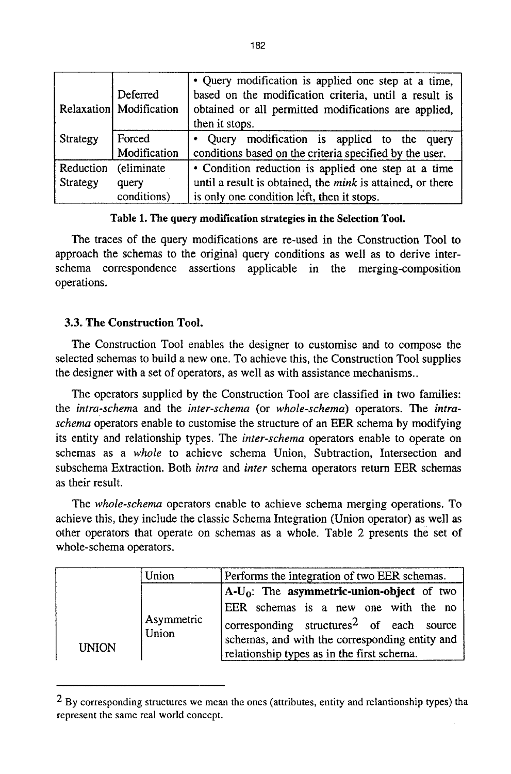|           | Deferred<br>Relaxation Modification | • Query modification is applied one step at a time,<br>based on the modification criteria, until a result is<br>obtained or all permitted modifications are applied,<br>then it stops. |
|-----------|-------------------------------------|----------------------------------------------------------------------------------------------------------------------------------------------------------------------------------------|
| Strategy  | Forced                              | Query modification is applied to the query                                                                                                                                             |
|           | Modification                        | conditions based on the criteria specified by the user.                                                                                                                                |
| Reduction | (eliminate                          | • Condition reduction is applied one step at a time                                                                                                                                    |
| Strategy  | query                               | until a result is obtained, the mink is attained, or there                                                                                                                             |
|           | conditions)                         | is only one condition left, then it stops.                                                                                                                                             |

## **Table 1. The query modification strategies in the Selection Tool.**

The traces of the query modifications are re-used in the Construction Tool to approach the schemas to the original query conditions as well as to derive interschema correspondence assertions applicable in the merging-composition operations.

# **3.3. The Construction Tool.**

The Construction Tool enables the designer to customise and to compose the selected schemas to build a new one. To achieve this, the Construction Tool supplies the designer with a set of operators, as well as with assistance mechanisms..

The operators supplied by the Construction Tool are classified in two families: the *intra-schema* and the *inter-schema* (or *whole-schema)* operators. The *intraschema* operators enable to customise the structure of an EER schema by modifying its entity and relationship types. The *inter-schema* operators enable to operate on schemas as a *whole* to achieve schema Union, Subtraction, Intersection and subschema Extraction. Both *intra* and *inter* schema operators return EER schemas as their result.

*The whole-schema* operators enable to achieve schema merging operations. To achieve this, they include the classic Schema Integration (Union operator) as well as other operators that operate on schemas as a whole. Table 2 presents the set of whole-schema operators.

|              |       | Union                                          | Performs the integration of two EER schemas.         |
|--------------|-------|------------------------------------------------|------------------------------------------------------|
|              |       |                                                | $A-U_0$ : The asymmetric-union-object of two         |
|              |       |                                                | EER schemas is a new one with the no                 |
|              |       | Asymmetric                                     | corresponding structures <sup>2</sup> of each source |
| <b>INION</b> | Union | schemas, and with the corresponding entity and |                                                      |
|              |       |                                                | relationship types as in the first schema.           |

<sup>&</sup>lt;sup>2</sup> By corresponding structures we mean the ones (attributes, entity and relantionship types) tha represent the same real world concept.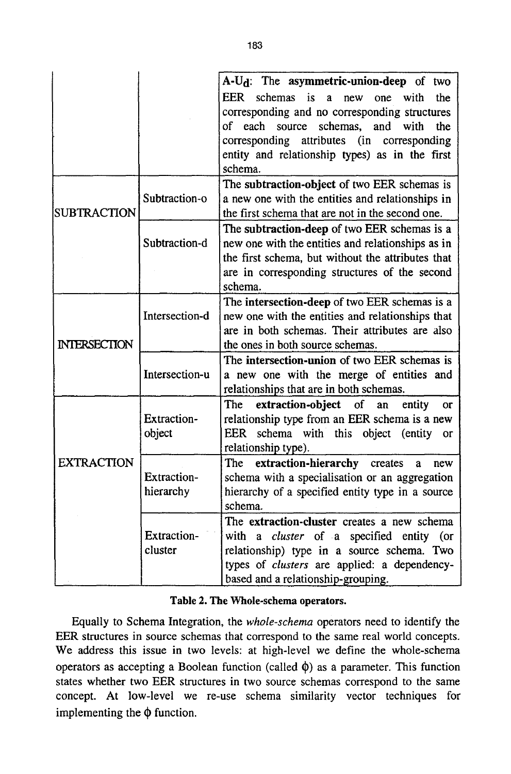|                     |                | A-U <sub>d</sub> : The asymmetric-union-deep of two                |
|---------------------|----------------|--------------------------------------------------------------------|
|                     |                |                                                                    |
|                     |                | EER schemas is<br>$\mathbf{a}$<br>with<br>the<br>new<br>one        |
|                     |                | corresponding and no corresponding structures                      |
|                     |                | of each<br>source<br>schemas.<br>and<br>with<br>the                |
|                     |                | corresponding attributes<br>(in corresponding)                     |
|                     |                | entity and relationship types) as in the first                     |
|                     |                | schema.                                                            |
|                     |                | The subtraction-object of two EER schemas is                       |
|                     | Subtraction-o  | a new one with the entities and relationships in                   |
| <b>SUBTRACTION</b>  |                | the first schema that are not in the second one.                   |
|                     | Subtraction-d  | The subtraction-deep of two EER schemas is a                       |
|                     |                | new one with the entities and relationships as in                  |
|                     |                | the first schema, but without the attributes that                  |
|                     |                | are in corresponding structures of the second                      |
|                     |                | schema.                                                            |
|                     |                | The intersection-deep of two EER schemas is a                      |
|                     | Intersection-d | new one with the entities and relationships that                   |
|                     |                | are in both schemas. Their attributes are also                     |
| <b>INTERSECTION</b> |                | the ones in both source schemas.                                   |
|                     |                | The intersection-union of two EER schemas is                       |
|                     | Intersection-u | a new one with the merge of entities and                           |
|                     |                | relationships that are in both schemas.                            |
|                     |                |                                                                    |
|                     |                | extraction-object<br><b>The</b><br>of<br>entity<br>an<br><b>or</b> |
|                     | Extraction-    | relationship type from an EER schema is a new                      |
|                     | object         | EER schema with this object (entity or                             |
|                     |                | relationship type).                                                |
| <b>EXTRACTION</b>   |                | The extraction-hierarchy creates<br>a<br>new                       |
|                     | Extraction-    | schema with a specialisation or an aggregation                     |
|                     | hierarchy      | hierarchy of a specified entity type in a source                   |
|                     |                | schema.                                                            |
|                     |                | The extraction-cluster creates a new schema                        |
|                     | Extraction-    | with a cluster of a specified entity (or                           |
|                     | cluster        | relationship) type in a source schema. Two                         |
|                     |                | types of clusters are applied: a dependency-                       |
|                     |                | based and a relationship-grouping.                                 |

#### **Table 2. The Whole-schema operators.**

Equally to Schema Integration, the *whole-schema* operators need to identify the EER structures in source schemas that correspond to the same real world concepts. We address this issue in two levels: at high-level we define the whole-schema operators as accepting a Boolean function (called  $\phi$ ) as a parameter. This function states whether two EER structures in two source schemas correspond to the same concept. At low-level we re-use schema similarity vector techniques for implementing the  $\phi$  function.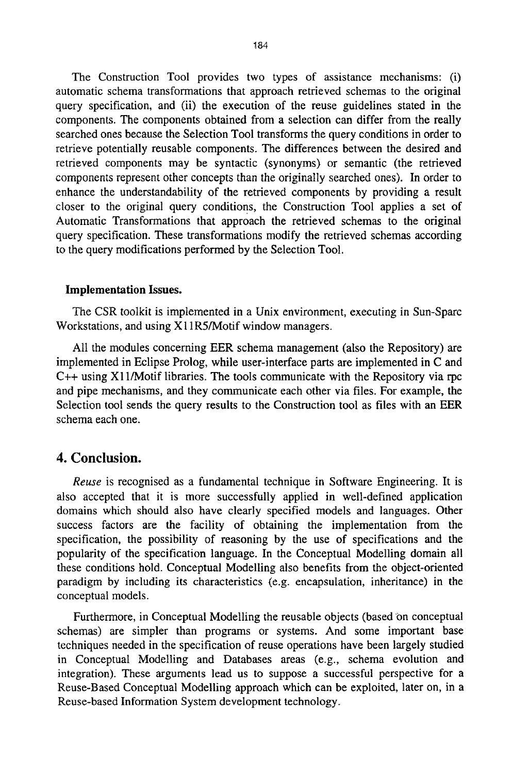The Construction Tool provides two types of assistance mechanisms: (i) automatic schema transformations that approach retrieved schemas to the original query specification, and (ii) the execution of the reuse guidelines stated in the components. The components obtained from a selection can differ from the really searched ones because the Selection Tool transforms the query conditions in order to retrieve potentially reusable components. The differences between the desired and retrieved components may be syntactic (synonyms) or semantic (the retrieved components represent other concepts than the originally searched ones). In order to enhance the understandability of the retrieved components by providing a result closer to the original query conditions, the Construction Tool applies a set of Automatic Transformations that approach the retrieved schemas to the original query specification. These transformations modify the retrieved schemas according to the query modifications performed by the Selection Tool.

## **Implementation Issues.**

The CSR toolkit is implemented in a Unix environment, executing in Sun-Spare Workstations, and using X 11R5/Motif window managers.

All the modules concerning EER schema management (also the Repository) are implemented in Eclipse Prolog, while user-interface parts are implemented in C and  $C_{++}$  using X11/Motif libraries. The tools communicate with the Repository via rpc and pipe mechanisms, and they communicate each other via files. For example, the Selection tool sends the query results to the Construction tool as files with an EER schema each one.

# **4. Conclusion.**

*Reuse* is recognised as a fundamental technique in Software Engineering. It is also accepted that it is more successfully applied in well-defined application domains which should also have clearly specified models and languages. Other success factors are the facility of obtaining the implementation from the specification, the possibility of reasoning by the use of specifications and the popularity of the specification language. In the Conceptual Modelling domain all these conditions hold. Conceptual Modelling also benefits from the object-oriented paradigm by including its characteristics (e.g. encapsulation, inheritance) in the conceptual models.

Furthermore, in Conceptual Modelling the reusable objects (based on conceptual schemas) are simpler than programs or systems. And some important base techniques needed in the specification of reuse operations have been largely studied in Conceptual Modelling and Databases areas (e.g., schema evolution and integration). These arguments lead us to suppose a successful perspective for a Reuse-Based Conceptual Modelling approach which can be exploited, later on, in a Reuse-based Information System development technology.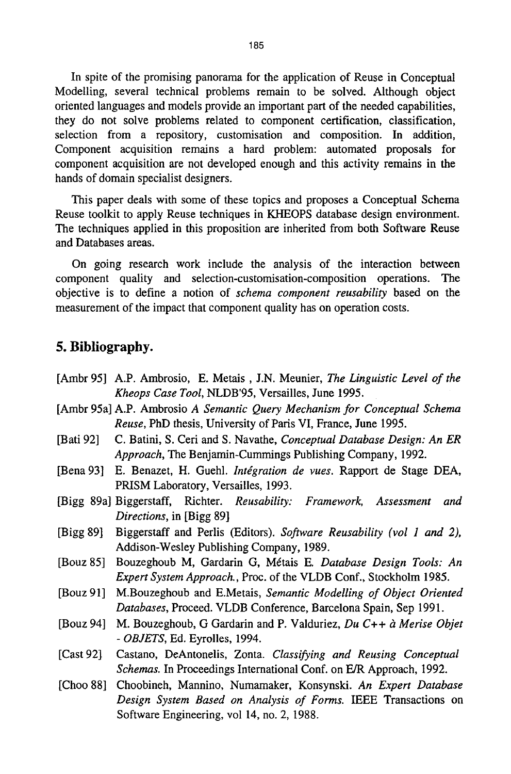In spite of the promising panorama for the application of Reuse in Conceptual Modelling, several technical problems remain to be solved. Although object oriented languages and models provide an important part of the needed capabilities, they do not solve problems related to component certification, classification, selection from a repository, customisation and composition. In addition, Component acquisition remains a hard problem: automated proposals for component acquisition are not developed enough and this activity remains in the hands of domain specialist designers.

This paper deals with some of these topics and proposes a Conceptual Schema Reuse toolkit to apply Reuse techniques in KHEOPS database design environment. The techniques applied in this proposition are inherited from both Software Reuse and Databases areas.

On going research work include the analysis of the interaction between component quality and selection-customisation-composition operations. The objective is to define a notion of *schema component reusability* based on the measurement of the impact that component quality has on operation costs.

# **5. Bibliography.**

[Ambr 95] A.P. Ambrosio, E. Metais, J.N. Meunier, *The Linguistic Level of the*  [Ambr 95a] A.P. Ambrosio *A Semantic Query Mechanism for Conceptual Schema*  [Bati 92] [Bena 93] E. Benazet, H. Guehl. *Integration de vues.* Rapport de Stage DEA, [Bigg 89a] Biggerstaff, [Bigg 89] [Bouz 85] Bouzeghoub M, Gardarin G, M&ais E. *Database Design Tools: An*  [Bouz 91] M.Bouzeghoub and E.Metais, Semantic Modelling of Object Oriented (Bouz 94) M. Bouzeghoub, G Gardarin and P. Valduriez, *Du C++ à Merise Objet* [Cast 92] [Choo 88] Choobineh, Mannino, Numamaker, Konsynski. *An Expert Database Kheops Case Tool,* NLDB'95, Versailles, June 1995. *Reuse,* PhD thesis, University of Paris VI, France, June 1995. C. Batini, S. Ceri and S. Navathe, *Conceptual Database Design: An ER Approach, The* Benjamin-Cummings Publishing Company, 1992. PRISM Laboratory, Versailles, 1993. Richter. *Reusability: Framework*, Assessment and *Directions,* in [Bigg 89] Biggerstaff and Perlis (Editors). *Software Reusability (vol 1 and 2),*  Addison-Wesley Publishing Company, 1989. *Expert System Approach.,* Proc. of the VLDB Conf., Stockholm 1985. *Databases,* Proceed. VLDB Conference, Barcelona Spain, Sep 1991. *- OBJETS,* Ed. Eyrolles, 1994. Castano, DeAntonelis, Zonta. *Classifying and Reusing Conceptual Schemas.* In Proceedings International Conf. on E/R Approach, 1992. *Design System Based on Analysis of Forms.* IEEE Transactions on Software Engineering, vol 14, no. 2, 1988.